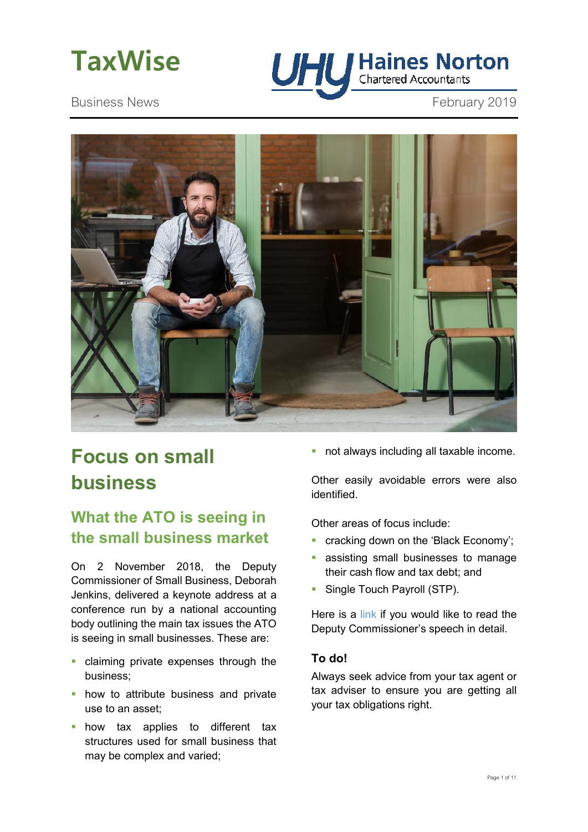



Business News **February 2019** 



# **Focus on small business**

## **What the ATO is seeing in the small business market**

On 2 November 2018, the Deputy Commissioner of Small Business, Deborah Jenkins, delivered a keynote address at a conference run by a national accounting body outlining the main tax issues the ATO is seeing in small businesses. These are:

- claiming private expenses through the business;
- **how to attribute business and private** use to an asset;
- **how tax applies to different tax** structures used for small business that may be complex and varied;

not always including all taxable income.

Other easily avoidable errors were also identified.

Other areas of focus include:

- cracking down on the 'Black Economy';
- assisting small businesses to manage their cash flow and tax debt; and
- **Single Touch Payroll (STP).**

Here is a link if you would like to read the Deputy Commissioner's speech in detail.

#### **To do!**

Always seek advice from your tax agent or tax adviser to ensure you are getting all your tax obligations right.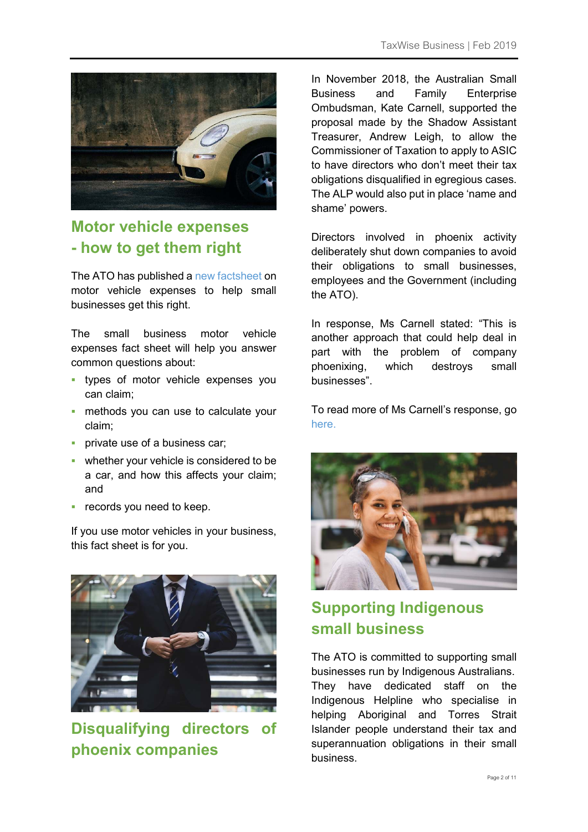

## **Motor vehicle expenses - how to get them right**

The ATO has published a new factsheet on motor vehicle expenses to help small businesses get this right.

The small business motor vehicle expenses fact sheet will help you answer common questions about:

- **types of motor vehicle expenses you** can claim;
- **numeral or methods you can use to calculate your** claim;
- **private use of a business car;**
- **•** whether your vehicle is considered to be a car, and how this affects your claim; and
- **•** records you need to keep.

If you use motor vehicles in your business, this fact sheet is for you.



**Disqualifying directors of phoenix companies** 

In November 2018, the Australian Small Business and Family Enterprise Ombudsman, Kate Carnell, supported the proposal made by the Shadow Assistant Treasurer, Andrew Leigh, to allow the Commissioner of Taxation to apply to ASIC to have directors who don't meet their tax obligations disqualified in egregious cases. The ALP would also put in place 'name and shame' powers.

Directors involved in phoenix activity deliberately shut down companies to avoid their obligations to small businesses, employees and the Government (including the ATO).

In response, Ms Carnell stated: "This is another approach that could help deal in part with the problem of company phoenixing, which destroys small businesses".

To read more of Ms Carnell's response, go here.



## **Supporting Indigenous small business**

The ATO is committed to supporting small businesses run by Indigenous Australians. They have dedicated staff on the Indigenous Helpline who specialise in helping Aboriginal and Torres Strait Islander people understand their tax and superannuation obligations in their small business.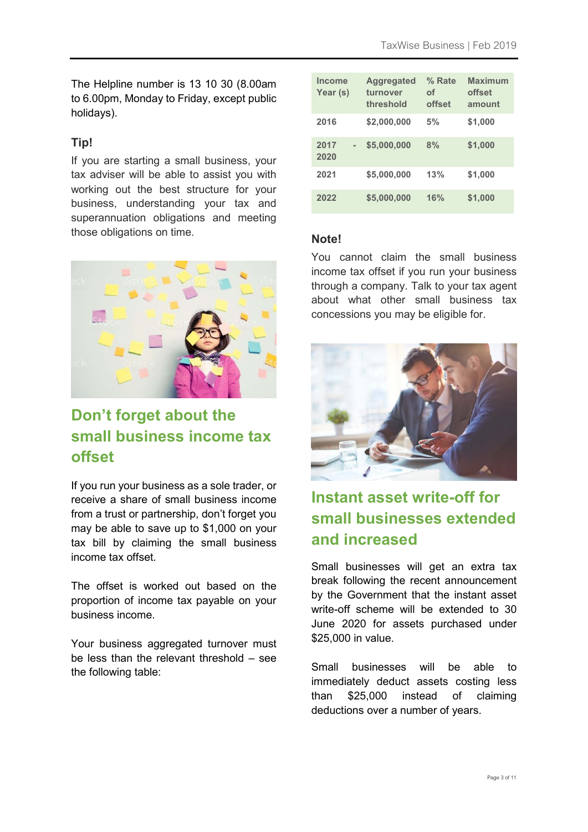The Helpline number is 13 10 30 (8.00am to 6.00pm, Monday to Friday, except public holidays).

#### **Tip!**

If you are starting a small business, your tax adviser will be able to assist you with working out the best structure for your business, understanding your tax and superannuation obligations and meeting those obligations on time.



## **Don't forget about the small business income tax offset**

If you run your business as a sole trader, or receive a share of small business income from a trust or partnership, don't forget you may be able to save up to \$1,000 on your tax bill by claiming the small business income tax offset.

The offset is worked out based on the proportion of income tax payable on your business income.

Your business aggregated turnover must be less than the relevant threshold – see the following table:

| Income<br>Year (s) | <b>Aggregated</b><br>turnover<br>threshold | % Rate<br>οf<br>offset | <b>Maximum</b><br>offset<br>amount |
|--------------------|--------------------------------------------|------------------------|------------------------------------|
| 2016               | \$2,000,000                                | 5%                     | \$1,000                            |
| 2017<br>2020       | \$5,000,000                                | 8%                     | \$1,000                            |
| 2021               | \$5,000,000                                | 13%                    | \$1,000                            |
| 2022               | \$5,000,000                                | 16%                    | \$1,000                            |

#### **Note!**

You cannot claim the small business income tax offset if you run your business through a company. Talk to your tax agent about what other small business tax concessions you may be eligible for.



## **Instant asset write-off for small businesses extended and increased**

Small businesses will get an extra tax break following the recent announcement by the Government that the instant asset write-off scheme will be extended to 30 June 2020 for assets purchased under \$25,000 in value.

Small businesses will be able to immediately deduct assets costing less than \$25,000 instead of claiming deductions over a number of years.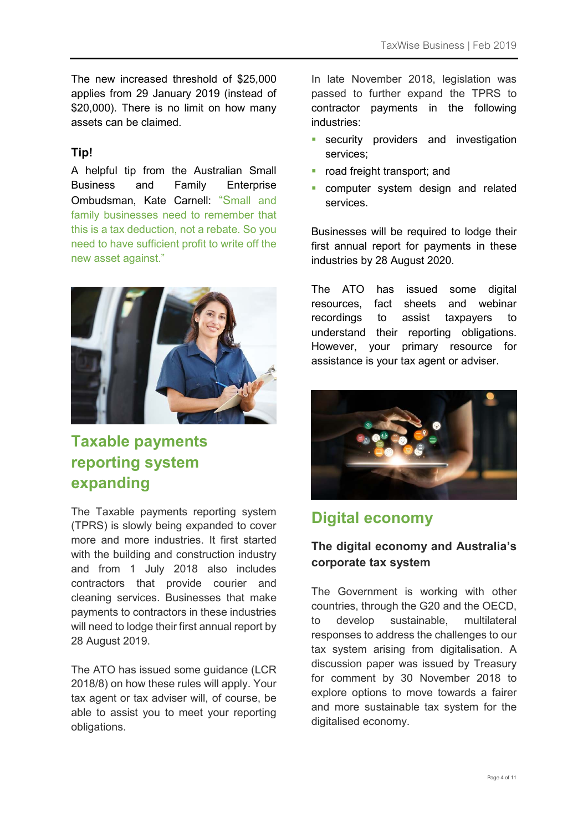The new increased threshold of \$25,000 applies from 29 January 2019 (instead of \$20,000). There is no limit on how many assets can be claimed.

#### **Tip!**

A helpful tip from the Australian Small Business and Family Enterprise Ombudsman, Kate Carnell: "Small and family businesses need to remember that this is a tax deduction, not a rebate. So you need to have sufficient profit to write off the new asset against."



## **Taxable payments reporting system expanding**

The Taxable payments reporting system (TPRS) is slowly being expanded to cover more and more industries. It first started with the building and construction industry and from 1 July 2018 also includes contractors that provide courier and cleaning services. Businesses that make payments to contractors in these industries will need to lodge their first annual report by 28 August 2019.

The ATO has issued some guidance (LCR 2018/8) on how these rules will apply. Your tax agent or tax adviser will, of course, be able to assist you to meet your reporting obligations.

In late November 2018, legislation was passed to further expand the TPRS to contractor payments in the following industries:

- **security providers and investigation** services;
- **•** road freight transport; and
- computer system design and related services.

Businesses will be required to lodge their first annual report for payments in these industries by 28 August 2020.

The ATO has issued some digital resources, fact sheets and webinar recordings to assist taxpayers to understand their reporting obligations. However, your primary resource for assistance is your tax agent or adviser.



## **Digital economy**

#### **The digital economy and Australia's corporate tax system**

The Government is working with other countries, through the G20 and the OECD, to develop sustainable, multilateral responses to address the challenges to our tax system arising from digitalisation. A discussion paper was issued by Treasury for comment by 30 November 2018 to explore options to move towards a fairer and more sustainable tax system for the digitalised economy.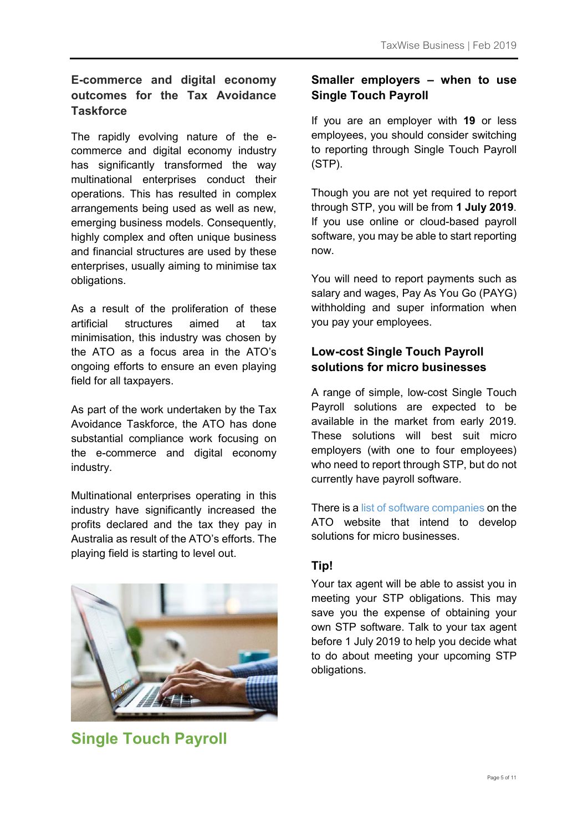### **E-commerce and digital economy outcomes for the Tax Avoidance Taskforce**

The rapidly evolving nature of the ecommerce and digital economy industry has significantly transformed the way multinational enterprises conduct their operations. This has resulted in complex arrangements being used as well as new, emerging business models. Consequently, highly complex and often unique business and financial structures are used by these enterprises, usually aiming to minimise tax obligations.

As a result of the proliferation of these artificial structures aimed at tax minimisation, this industry was chosen by the ATO as a focus area in the ATO's ongoing efforts to ensure an even playing field for all taxpayers.

As part of the work undertaken by the Tax Avoidance Taskforce, the ATO has done substantial compliance work focusing on the e-commerce and digital economy industry.

Multinational enterprises operating in this industry have significantly increased the profits declared and the tax they pay in Australia as result of the ATO's efforts. The playing field is starting to level out.



**Single Touch Payroll** 

### **Smaller employers – when to use Single Touch Payroll**

If you are an employer with **19** or less employees, you should consider switching to reporting through Single Touch Payroll (STP).

Though you are not yet required to report through STP, you will be from **1 July 2019**. If you use online or cloud-based payroll software, you may be able to start reporting now.

You will need to report payments such as salary and wages, Pay As You Go (PAYG) withholding and super information when you pay your employees.

### **Low-cost Single Touch Payroll solutions for micro businesses**

A range of simple, low-cost Single Touch Payroll solutions are expected to be available in the market from early 2019. These solutions will best suit micro employers (with one to four employees) who need to report through STP, but do not currently have payroll software.

There is a list of software companies on the ATO website that intend to develop solutions for micro businesses.

### **Tip!**

Your tax agent will be able to assist you in meeting your STP obligations. This may save you the expense of obtaining your own STP software. Talk to your tax agent before 1 July 2019 to help you decide what to do about meeting your upcoming STP obligations.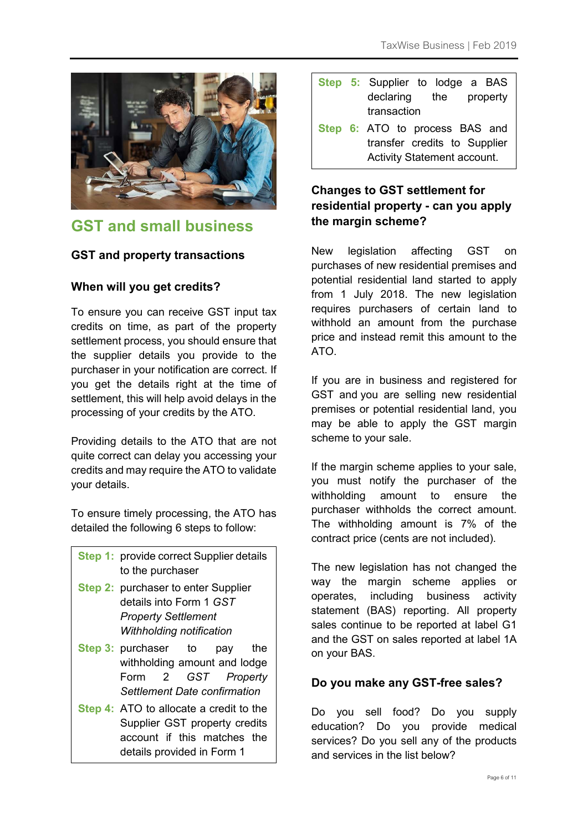

## **GST and small business**

#### **GST and property transactions**

#### **When will you get credits?**

To ensure you can receive GST input tax credits on time, as part of the property settlement process, you should ensure that the supplier details you provide to the purchaser in your notification are correct. If you get the details right at the time of settlement, this will help avoid delays in the processing of your credits by the ATO.

Providing details to the ATO that are not quite correct can delay you accessing your credits and may require the ATO to validate your details.

To ensure timely processing, the ATO has detailed the following 6 steps to follow:

|                  | <b>Step 1: provide correct Supplier details</b> |
|------------------|-------------------------------------------------|
| to the purchaser |                                                 |

- **Step 2: purchaser to enter Supplier** details into Form 1 *GST Property Settlement Withholding notification*
- **Step 3: purchaser** to pay the withholding amount and lodge Form 2 *GST Property Settlement Date confirmation*
- **Step 4:** ATO to allocate a credit to the Supplier GST property credits account if this matches the details provided in Form 1

|                              |                             | Step 5: Supplier to lodge a BAS |  |
|------------------------------|-----------------------------|---------------------------------|--|
|                              |                             | declaring the property          |  |
|                              |                             | transaction                     |  |
|                              |                             | Step 6: ATO to process BAS and  |  |
| transfer credits to Supplier |                             |                                 |  |
|                              | Activity Statement account. |                                 |  |

### **Changes to GST settlement for residential property - can you apply the margin scheme?**

New legislation affecting GST on purchases of new residential premises and potential residential land started to apply from 1 July 2018. The new legislation requires purchasers of certain land to withhold an amount from the purchase price and instead remit this amount to the ATO.

If you are in business and registered for GST and you are selling new residential premises or potential residential land, you may be able to apply the GST margin scheme to your sale.

If the margin scheme applies to your sale, you must notify the purchaser of the withholding amount to ensure the purchaser withholds the correct amount. The withholding amount is 7% of the contract price (cents are not included).

The new legislation has not changed the way the margin scheme applies or operates, including business activity statement (BAS) reporting. All property sales continue to be reported at label G1 and the GST on sales reported at label 1A on your BAS.

#### **Do you make any GST-free sales?**

Do you sell food? Do you supply education? Do you provide medical services? Do you sell any of the products and services in the list below?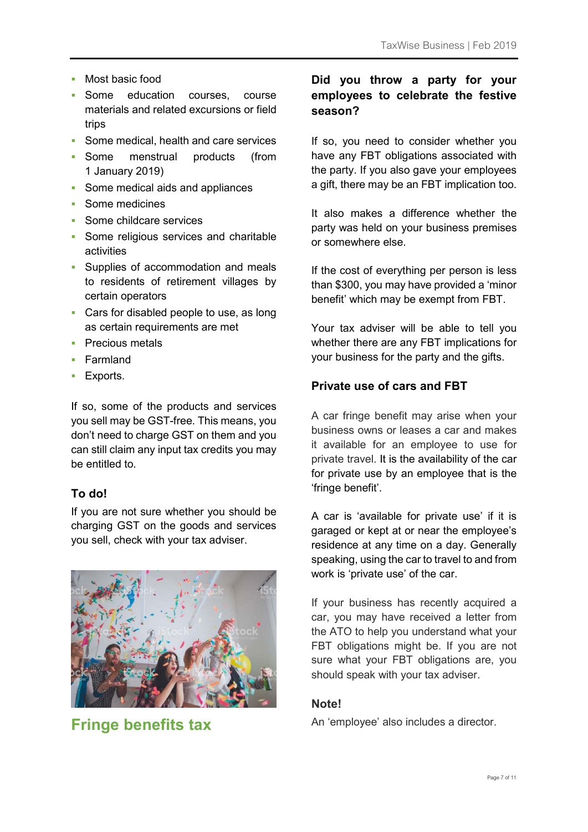- Most basic food
- **Some education courses**, course materials and related excursions or field trips
- Some medical, health and care services
- Some menstrual products (from 1 January 2019)
- **Some medical aids and appliances**
- Some medicines
- **Some childcare services**
- **Some religious services and charitable** activities
- **Supplies of accommodation and meals** to residents of retirement villages by certain operators
- **Cars for disabled people to use, as long** as certain requirements are met
- **Precious metals**
- **Farmland**
- **Exports.**

If so, some of the products and services you sell may be GST-free. This means, you don't need to charge GST on them and you can still claim any input tax credits you may be entitled to.

#### **To do!**

If you are not sure whether you should be charging GST on the goods and services you sell, check with your tax adviser.



**Fringe benefits tax** 

#### **Did you throw a party for your employees to celebrate the festive season?**

If so, you need to consider whether you have any FBT obligations associated with the party. If you also gave your employees a gift, there may be an FBT implication too.

It also makes a difference whether the party was held on your business premises or somewhere else.

If the cost of everything per person is less than \$300, you may have provided a 'minor benefit' which may be exempt from FBT.

Your tax adviser will be able to tell you whether there are any FBT implications for your business for the party and the gifts.

#### **Private use of cars and FBT**

A car fringe benefit may arise when your business owns or leases a car and makes it available for an employee to use for private travel. It is the availability of the car for private use by an employee that is the 'fringe benefit'.

A car is 'available for private use' if it is garaged or kept at or near the employee's residence at any time on a day. Generally speaking, using the car to travel to and from work is 'private use' of the car.

If your business has recently acquired a car, you may have received a letter from the ATO to help you understand what your FBT obligations might be. If you are not sure what your FBT obligations are, you should speak with your tax adviser.

#### **Note!**

An 'employee' also includes a director.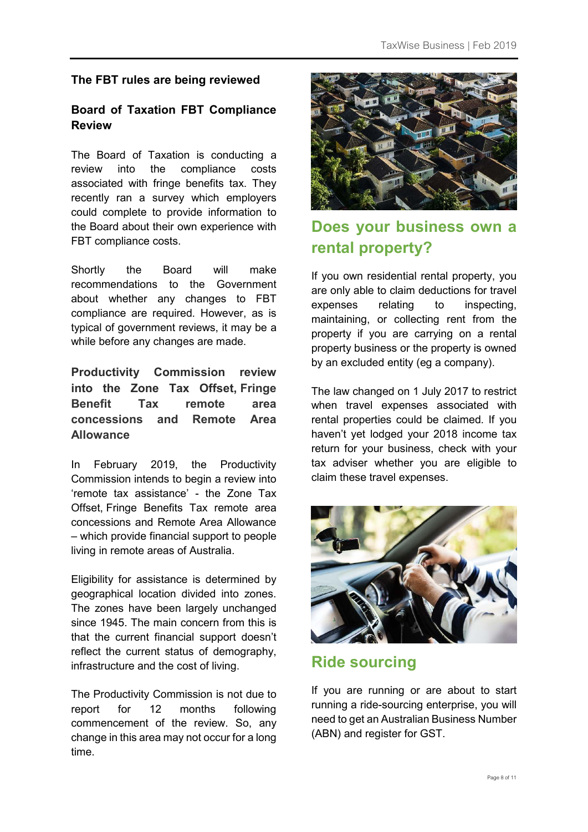### **The FBT rules are being reviewed**

#### **Board of Taxation FBT Compliance Review**

The Board of Taxation is conducting a review into the compliance costs associated with fringe benefits tax. They recently ran a survey which employers could complete to provide information to the Board about their own experience with FBT compliance costs.

Shortly the Board will make recommendations to the Government about whether any changes to FBT compliance are required. However, as is typical of government reviews, it may be a while before any changes are made.

**Productivity Commission review into the Zone Tax Offset, Fringe Benefit Tax remote area concessions and Remote Area Allowance** 

In February 2019, the Productivity Commission intends to begin a review into 'remote tax assistance' - the Zone Tax Offset, Fringe Benefits Tax remote area concessions and Remote Area Allowance – which provide financial support to people living in remote areas of Australia.

Eligibility for assistance is determined by geographical location divided into zones. The zones have been largely unchanged since 1945. The main concern from this is that the current financial support doesn't reflect the current status of demography, infrastructure and the cost of living.

The Productivity Commission is not due to report for 12 months following commencement of the review. So, any change in this area may not occur for a long time.



## **Does your business own a rental property?**

If you own residential rental property, you are only able to claim deductions for travel expenses relating to inspecting, maintaining, or collecting rent from the property if you are carrying on a rental property business or the property is owned by an excluded entity (eg a company).

The law changed on 1 July 2017 to restrict when travel expenses associated with rental properties could be claimed. If you haven't yet lodged your 2018 income tax return for your business, check with your tax adviser whether you are eligible to claim these travel expenses.



## **Ride sourcing**

If you are running or are about to start running a ride-sourcing enterprise, you will need to get an Australian Business Number (ABN) and register for GST.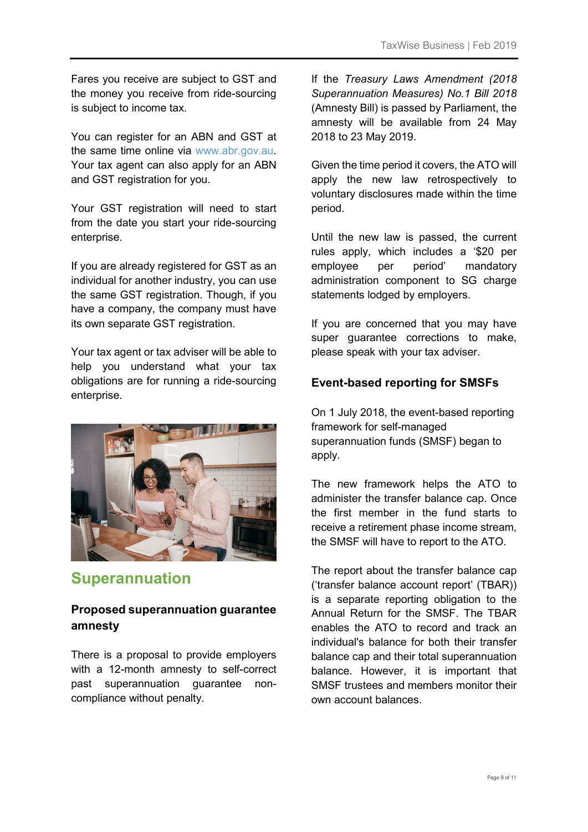Fares you receive are subject to GST and the money you receive from ride-sourcing is subject to income tax.

You can register for an ABN and GST at the same time online via www.abr.gov.au. Your tax agent can also apply for an ABN and GST registration for you.

Your GST registration will need to start from the date you start your ride-sourcing enterprise.

If you are already registered for GST as an individual for another industry, you can use the same GST registration. Though, if you have a company, the company must have its own separate GST registration.

Your tax agent or tax adviser will be able to help you understand what your tax obligations are for running a ride-sourcing enterprise.



## **Superannuation**

#### **Proposed superannuation guarantee amnesty**

There is a proposal to provide employers with a 12-month amnesty to self-correct past superannuation guarantee noncompliance without penalty.

If the *Treasury Laws Amendment (2018 Superannuation Measures) No.1 Bill 2018* (Amnesty Bill) is passed by Parliament, the amnesty will be available from 24 May 2018 to 23 May 2019.

Given the time period it covers, the ATO will apply the new law retrospectively to voluntary disclosures made within the time period.

Until the new law is passed, the current rules apply, which includes a '\$20 per employee per period' mandatory administration component to SG charge statements lodged by employers.

If you are concerned that you may have super guarantee corrections to make, please speak with your tax adviser.

#### **Event-based reporting for SMSFs**

On 1 July 2018, the event-based reporting framework for self-managed superannuation funds (SMSF) began to apply.

The new framework helps the ATO to administer the transfer balance cap. Once the first member in the fund starts to receive a retirement phase income stream, the SMSF will have to report to the ATO.

The report about the transfer balance cap ('transfer balance account report' (TBAR)) is a separate reporting obligation to the Annual Return for the SMSF. The TBAR enables the ATO to record and track an individual's balance for both their transfer balance cap and their total superannuation balance. However, it is important that SMSF trustees and members monitor their own account balances.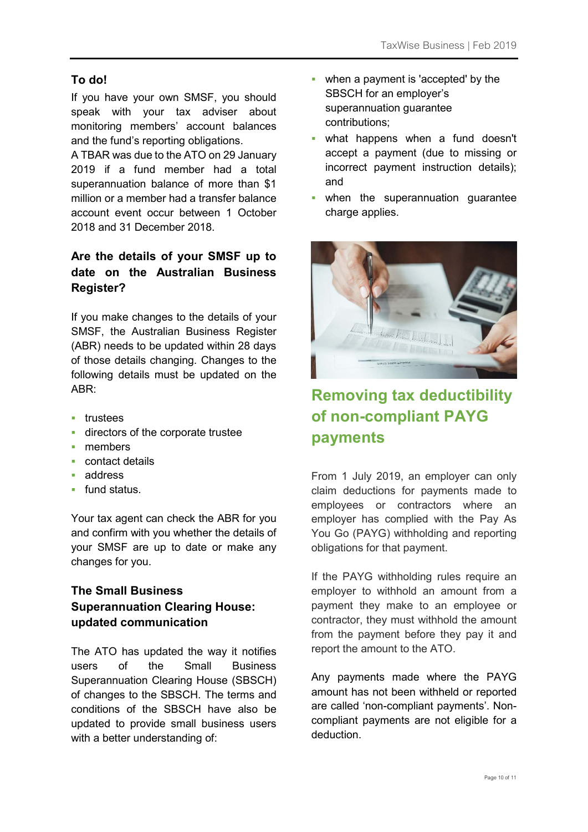#### **To do!**

If you have your own SMSF, you should speak with your tax adviser about monitoring members' account balances and the fund's reporting obligations.

A TBAR was due to the ATO on 29 January 2019 if a fund member had a total superannuation balance of more than \$1 million or a member had a transfer balance account event occur between 1 October 2018 and 31 December 2018.

### **Are the details of your SMSF up to date on the Australian Business Register?**

If you make changes to the details of your SMSF, the Australian Business Register (ABR) needs to be updated within 28 days of those details changing. Changes to the following details must be updated on the  $ABR$ 

- **trustees**
- **directors of the corporate trustee**
- members
- contact details
- address
- fund status.

Your tax agent can check the ABR for you and confirm with you whether the details of your SMSF are up to date or make any changes for you.

### **The Small Business Superannuation Clearing House: updated communication**

The ATO has updated the way it notifies users of the Small Business Superannuation Clearing House (SBSCH) of changes to the SBSCH. The terms and conditions of the SBSCH have also be updated to provide small business users with a better understanding of:

- when a payment is 'accepted' by the SBSCH for an employer's superannuation guarantee contributions;
- what happens when a fund doesn't accept a payment (due to missing or incorrect payment instruction details); and
- when the superannuation guarantee charge applies.



## **Removing tax deductibility of non-compliant PAYG payments**

From 1 July 2019, an employer can only claim deductions for payments made to employees or contractors where an employer has complied with the Pay As You Go (PAYG) withholding and reporting obligations for that payment.

If the PAYG withholding rules require an employer to withhold an amount from a payment they make to an employee or contractor, they must withhold the amount from the payment before they pay it and report the amount to the ATO.

Any payments made where the PAYG amount has not been withheld or reported are called 'non-compliant payments'. Noncompliant payments are not eligible for a deduction.